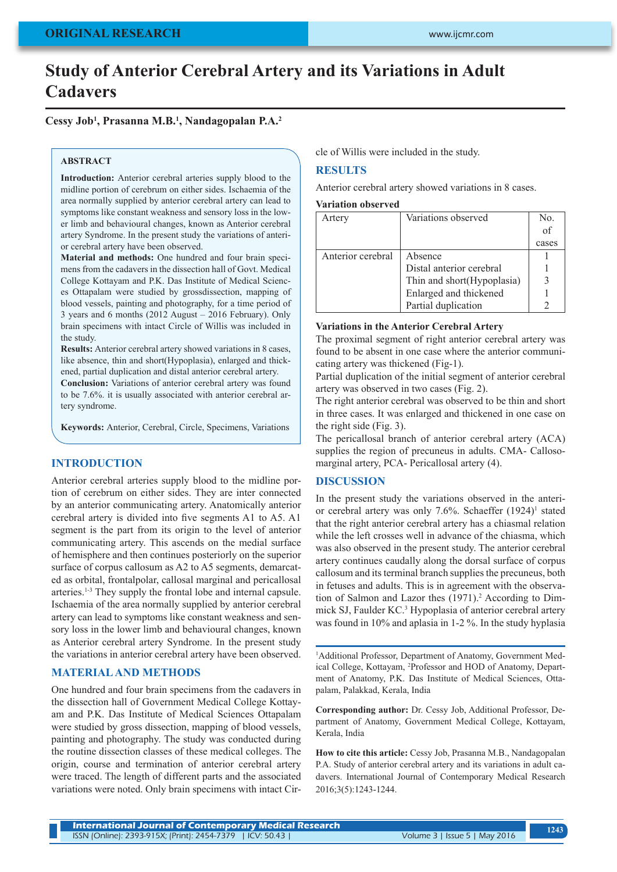# **Study of Anterior Cerebral Artery and its Variations in Adult Cadavers**

# **Cessy Job1 , Prasanna M.B.1 , Nandagopalan P.A.2**

## **ABSTRACT**

**Introduction:** Anterior cerebral arteries supply blood to the midline portion of cerebrum on either sides. Ischaemia of the area normally supplied by anterior cerebral artery can lead to symptoms like constant weakness and sensory loss in the lower limb and behavioural changes, known as Anterior cerebral artery Syndrome. In the present study the variations of anterior cerebral artery have been observed.

**Material and methods:** One hundred and four brain specimens from the cadavers in the dissection hall of Govt. Medical College Kottayam and P.K. Das Institute of Medical Sciences Ottapalam were studied by grossdissection, mapping of blood vessels, painting and photography, for a time period of 3 years and 6 months (2012 August – 2016 February). Only brain specimens with intact Circle of Willis was included in the study.

**Results:** Anterior cerebral artery showed variations in 8 cases, like absence, thin and short(Hypoplasia), enlarged and thickened, partial duplication and distal anterior cerebral artery.

**Conclusion:** Variations of anterior cerebral artery was found to be 7.6%. it is usually associated with anterior cerebral artery syndrome.

**Keywords:** Anterior, Cerebral, Circle, Specimens, Variations

# **INTRODUCTION**

Anterior cerebral arteries supply blood to the midline portion of cerebrum on either sides. They are inter connected by an anterior communicating artery. Anatomically anterior cerebral artery is divided into five segments A1 to A5. A1 segment is the part from its origin to the level of anterior communicating artery. This ascends on the medial surface of hemisphere and then continues posteriorly on the superior surface of corpus callosum as A2 to A5 segments, demarcated as orbital, frontalpolar, callosal marginal and pericallosal arteries.1-3 They supply the frontal lobe and internal capsule. Ischaemia of the area normally supplied by anterior cerebral artery can lead to symptoms like constant weakness and sensory loss in the lower limb and behavioural changes, known as Anterior cerebral artery Syndrome. In the present study the variations in anterior cerebral artery have been observed.

# **MATERIAL AND METHODS**

One hundred and four brain specimens from the cadavers in the dissection hall of Government Medical College Kottayam and P.K. Das Institute of Medical Sciences Ottapalam were studied by gross dissection, mapping of blood vessels, painting and photography. The study was conducted during the routine dissection classes of these medical colleges. The origin, course and termination of anterior cerebral artery were traced. The length of different parts and the associated variations were noted. Only brain specimens with intact Circle of Willis were included in the study.

# **RESULTS**

Anterior cerebral artery showed variations in 8 cases.

**Variation observed**

| Artery            | Variations observed        | No.   |
|-------------------|----------------------------|-------|
|                   |                            | of    |
|                   |                            | cases |
| Anterior cerebral | Absence                    |       |
|                   | Distal anterior cerebral   |       |
|                   | Thin and short(Hypoplasia) |       |
|                   | Enlarged and thickened     |       |
|                   | Partial duplication        |       |

#### **Variations in the Anterior Cerebral Artery**

The proximal segment of right anterior cerebral artery was found to be absent in one case where the anterior communicating artery was thickened (Fig-1).

Partial duplication of the initial segment of anterior cerebral artery was observed in two cases (Fig. 2).

The right anterior cerebral was observed to be thin and short in three cases. It was enlarged and thickened in one case on the right side (Fig. 3).

The pericallosal branch of anterior cerebral artery (ACA) supplies the region of precuneus in adults. CMA- Callosomarginal artery, PCA- Pericallosal artery (4).

# **DISCUSSION**

In the present study the variations observed in the anterior cerebral artery was only 7.6%. Schaeffer  $(1924)^1$  stated that the right anterior cerebral artery has a chiasmal relation while the left crosses well in advance of the chiasma, which was also observed in the present study. The anterior cerebral artery continues caudally along the dorsal surface of corpus callosum and its terminal branch supplies the precuneus, both in fetuses and adults. This is in agreement with the observation of Salmon and Lazor thes (1971).<sup>2</sup> According to Dimmick SJ, Faulder KC.<sup>3</sup> Hypoplasia of anterior cerebral artery was found in 10% and aplasia in 1-2 %. In the study hyplasia

<sup>1</sup>Additional Professor, Department of Anatomy, Government Medical College, Kottayam, 2 Professor and HOD of Anatomy, Department of Anatomy, P.K. Das Institute of Medical Sciences, Ottapalam, Palakkad, Kerala, India

**Corresponding author:** Dr. Cessy Job, Additional Professor, Department of Anatomy, Government Medical College, Kottayam, Kerala, India

**How to cite this article:** Cessy Job, Prasanna M.B., Nandagopalan P.A. Study of anterior cerebral artery and its variations in adult cadavers. International Journal of Contemporary Medical Research 2016;3(5):1243-1244.